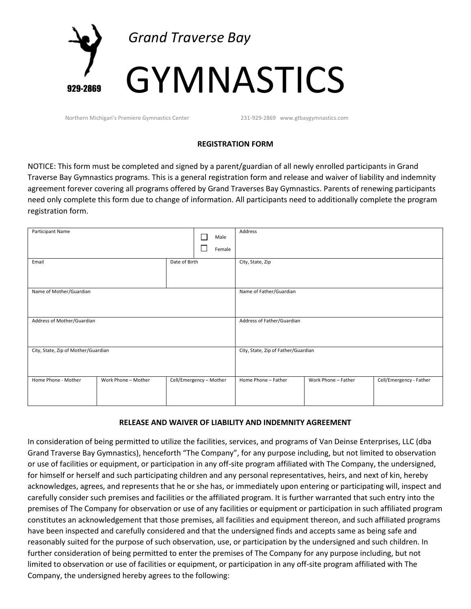

Northern Michigan's Premiere Gymnastics Center 231-929-2869 www.gtbaygymnastics.com

# **REGISTRATION FORM**

NOTICE: This form must be completed and signed by a parent/guardian of all newly enrolled participants in Grand Traverse Bay Gymnastics programs. This is a general registration form and release and waiver of liability and indemnity agreement forever covering all programs offered by Grand Traverses Bay Gymnastics. Parents of renewing participants need only complete this form due to change of information. All participants need to additionally complete the program registration form.

| Participant Name                    |                     |                         |  | Male<br>Female | Address                             |                     |                         |
|-------------------------------------|---------------------|-------------------------|--|----------------|-------------------------------------|---------------------|-------------------------|
| Email                               |                     | Date of Birth           |  |                | City, State, Zip                    |                     |                         |
| Name of Mother/Guardian             |                     |                         |  |                | Name of Father/Guardian             |                     |                         |
| Address of Mother/Guardian          |                     |                         |  |                | Address of Father/Guardian          |                     |                         |
| City, State, Zip of Mother/Guardian |                     |                         |  |                | City, State, Zip of Father/Guardian |                     |                         |
| Home Phone - Mother                 | Work Phone - Mother | Cell/Emergency - Mother |  |                | Home Phone - Father                 | Work Phone - Father | Cell/Emergency - Father |

# **RELEASE AND WAIVER OF LIABILITY AND INDEMNITY AGREEMENT** s '

In consideration of being permitted to utilize the facilities, services, and programs of Van Deinse Enterprises, LLC (dba t a Grand Traverse Bay Gymnastics), henceforth "The Company", for any purpose including, but not limited to observation t or use of facilities or equipment, or participation in any off-site program affiliated with The Company, the undersigned, e t for himself or herself and such participating children and any personal representatives, heirs, and next of kin, hereby n for himself or herself and such participating children and any personal representatives, heirs, and next of kin, hereby<br>acknowledges, agrees, and represents that he or she has, or immediately upon entering or participating carefully consider such premises and facilities or the affiliated program. It is further warranted that such entry into the i t premises of The Company for observation or use of any facilities or equipment or participation in such affiliated program o i constitutes an acknowledgement that those premises, all facilities and equipment thereon, and such affiliated programs n o have been inspected and carefully considered and that the undersigned finds and accepts same as being safe and w have been inspected and carefully considered and that the undersigned finds and accepts same as being safe and<br>reasonably suited for the purpose of such observation, use, or participation by the undersigned and such childr further consideration of being permitted to enter the premises of The Company for any purpose including, but not t i limited to observation or use of facilities or equipment, or participation in any off-site program affiliated with The Company, the undersigned hereby agrees to the following:<br>